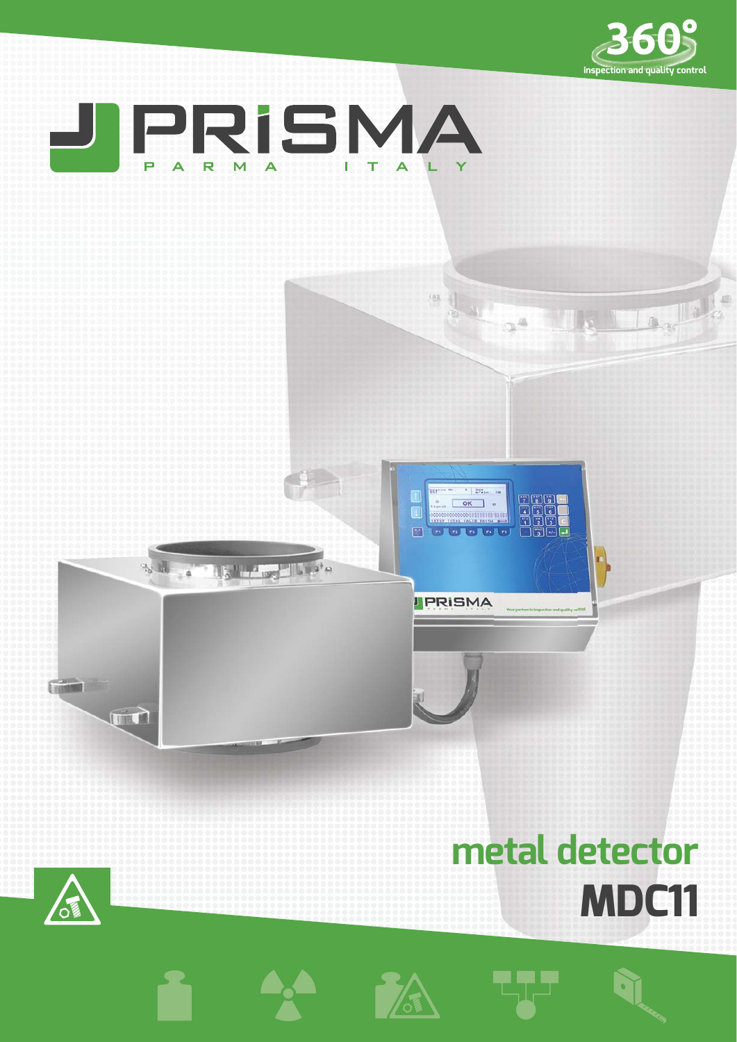



## **metal detector MDC11**